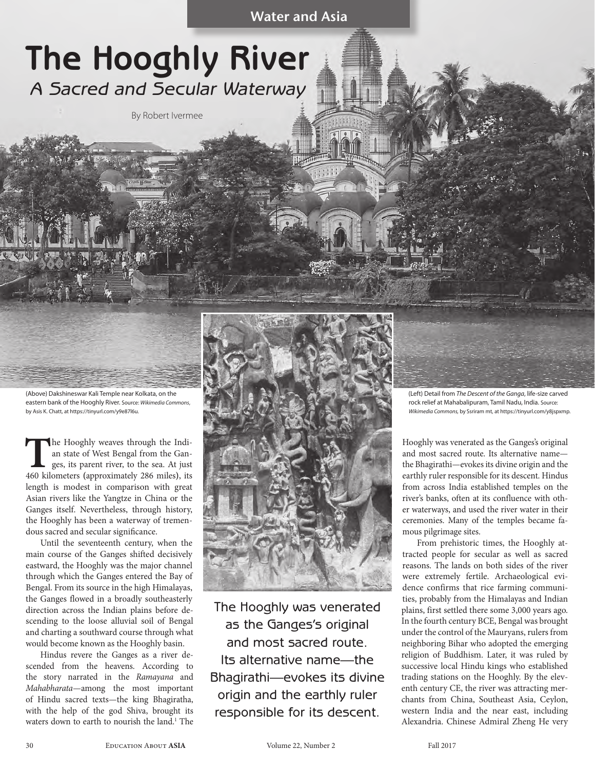# **The Hooghly River** *A Sacred and Secular Waterway*

By Robert Ivermee

(Above) Dakshineswar Kali Temple near Kolkata, on the eastern bank of the Hooghly River. Source: *Wikimedia Commons*, by Asis K. Chatt, at https://tinyurl.com/y9e87l6u.

The Hooghly weaves through the Indi-<br>an state of West Bengal from the Gan-<br>ges, its parent river, to the sea. At just<br>460 kilometers (approximately 286 miles), its an state of West Bengal from the Ganges, its parent river, to the sea. At just 460 kilometers **(**approximately 286 miles**)**, its length is modest in comparison with great Asian rivers like the Yangtze in China or the Ganges itself. Nevertheless, through history, the Hooghly has been a waterway of tremendous sacred and secular significance.

Until the seventeenth century, when the main course of the Ganges shifted decisively eastward, the Hooghly was the major channel through which the Ganges entered the Bay of Bengal. From its source in the high Himalayas, the Ganges flowed in a broadly southeasterly direction across the Indian plains before descending to the loose alluvial soil of Bengal and charting a southward course through what would become known as the Hooghly basin.

Hindus revere the Ganges as a river descended from the heavens. According to the story narrated in the *Ramayana* and *Mahabharata*—among the most important of Hindu sacred texts—the king Bhagiratha, with the help of the god Shiva, brought its waters down to earth to nourish the land.<sup>1</sup> The



The Hooghly was venerated as the Ganges's original and most sacred route. Its alternative name—the Bhagirathi—evokes its divine origin and the earthly ruler responsible for its descent.

 (Left) Detail from *The Descent of the Ganga*, life-size carved rock relief at Mahabalipuram, Tamil Nadu, India. Source: *Wikimedia Commons,* by Ssriram mt, at https://tinyurl.com/y8jspxmp.

Hooghly was venerated as the Ganges's original and most sacred route. Its alternative name the Bhagirathi—evokes its divine origin and the earthly ruler responsible for its descent. Hindus from across India established temples on the river's banks, often at its confluence with other waterways, and used the river water in their ceremonies. Many of the temples became famous pilgrimage sites.

From prehistoric times, the Hooghly attracted people for secular as well as sacred reasons. The lands on both sides of the river were extremely fertile. Archaeological evidence confirms that rice farming communities, probably from the Himalayas and Indian plains, first settled there some 3,000 years ago. In the fourth century BCE, Bengal was brought under the control of the Mauryans, rulers from neighboring Bihar who adopted the emerging religion of Buddhism. Later, it was ruled by successive local Hindu kings who established trading stations on the Hooghly. By the eleventh century CE, the river was attracting merchants from China, Southeast Asia, Ceylon, western India and the near east, including Alexandria. Chinese Admiral Zheng He very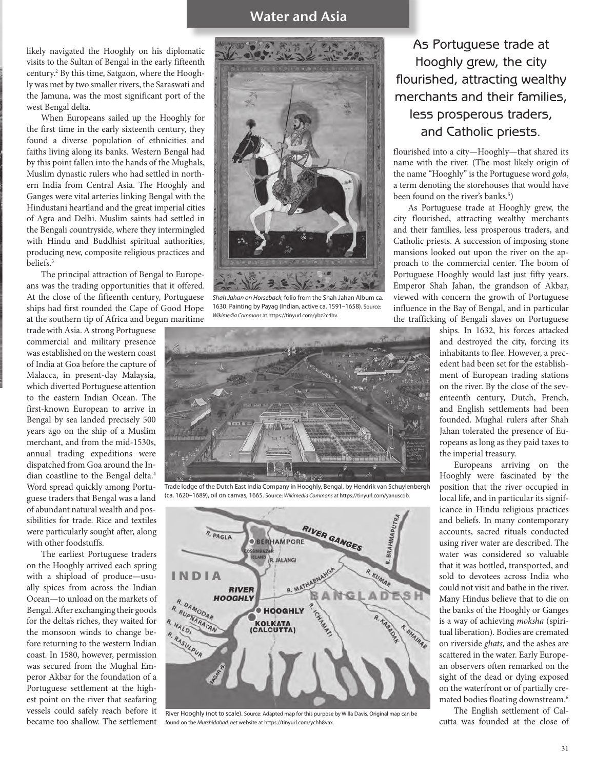likely navigated the Hooghly on his diplomatic visits to the Sultan of Bengal in the early fifteenth century.2 By this time, Satgaon, where the Hooghly was met by two smaller rivers, the Saraswati and the Jamuna, was the most significant port of the west Bengal delta.

When Europeans sailed up the Hooghly for the first time in the early sixteenth century, they found a diverse population of ethnicities and faiths living along its banks. Western Bengal had by this point fallen into the hands of the Mughals, Muslim dynastic rulers who had settled in northern India from Central Asia. The Hooghly and Ganges were vital arteries linking Bengal with the Hindustani heartland and the great imperial cities of Agra and Delhi. Muslim saints had settled in the Bengali countryside, where they intermingled with Hindu and Buddhist spiritual authorities, producing new, composite religious practices and beliefs.3

The principal attraction of Bengal to Europeans was the trading opportunities that it offered. At the close of the fifteenth century, Portuguese ships had first rounded the Cape of Good Hope at the southern tip of Africa and begun maritime

trade with Asia. A strong Portuguese commercial and military presence was established on the western coast of India at Goa before the capture of Malacca, in present-day Malaysia, which diverted Portuguese attention to the eastern Indian Ocean. The first-known European to arrive in Bengal by sea landed precisely 500 years ago on the ship of a Muslim merchant, and from the mid-1530s, annual trading expeditions were dispatched from Goa around the Indian coastline to the Bengal delta.4 Word spread quickly among Portuguese traders that Bengal was a land of abundant natural wealth and possibilities for trade. Rice and textiles were particularly sought after, along with other foodstuffs.

The earliest Portuguese traders on the Hooghly arrived each spring with a shipload of produce—usually spices from across the Indian Ocean—to unload on the markets of Bengal. After exchanging their goods for the delta's riches, they waited for the monsoon winds to change before returning to the western Indian coast. In 1580, however, permission was secured from the Mughal Emperor Akbar for the foundation of a Portuguese settlement at the highest point on the river that seafaring vessels could safely reach before it became too shallow. The settlement



*Shah Jahan on Horseback*, folio from the Shah Jahan Album ca. 1630. Painting by Payag (Indian, active ca. 1591–1658). Source: *Wikimedia Commons* at https://tinyurl.com/ybz2c4hv.



Trade lodge of the Dutch East India Company in Hooghly, Bengal, by Hendrik van Schuylenbergh (ca. 1620–1689), oil on canvas, 1665. Source: *Wikimedia Commons* at https://tinyurl.com/yanuscdb.



River Hooghly (not to scale). Source: Adapted map for this purpose by Willa Davis. Original map can be found on the *Murshidabad. net* website at https://tinyurl.com/ychh8vax.

As Portuguese trade at Hooghly grew, the city flourished, attracting wealthy merchants and their families, less prosperous traders, and Catholic priests.

flourished into a city—Hooghly—that shared its name with the river. (The most likely origin of the name "Hooghly" is the Portuguese word *gola*, a term denoting the storehouses that would have been found on the river's banks.<sup>5</sup>)

As Portuguese trade at Hooghly grew, the city flourished, attracting wealthy merchants and their families, less prosperous traders, and Catholic priests. A succession of imposing stone mansions looked out upon the river on the approach to the commercial center. The boom of Portuguese Hooghly would last just fifty years. Emperor Shah Jahan, the grandson of Akbar, viewed with concern the growth of Portuguese influence in the Bay of Bengal, and in particular the trafficking of Bengali slaves on Portuguese

ships. In 1632, his forces attacked and destroyed the city, forcing its inhabitants to flee. However, a precedent had been set for the establishment of European trading stations on the river. By the close of the seventeenth century, Dutch, French, and English settlements had been founded. Mughal rulers after Shah Jahan tolerated the presence of Europeans as long as they paid taxes to the imperial treasury.

Europeans arriving on the Hooghly were fascinated by the position that the river occupied in local life, and in particular its significance in Hindu religious practices and beliefs. In many contemporary accounts, sacred rituals conducted using river water are described. The water was considered so valuable that it was bottled, transported, and sold to devotees across India who could not visit and bathe in the river. Many Hindus believe that to die on the banks of the Hooghly or Ganges is a way of achieving *moksha* (spiritual liberation). Bodies are cremated on riverside *ghats,* and the ashes are scattered in the water. Early European observers often remarked on the sight of the dead or dying exposed on the waterfront or of partially cremated bodies floating downstream.6

The English settlement of Calcutta was founded at the close of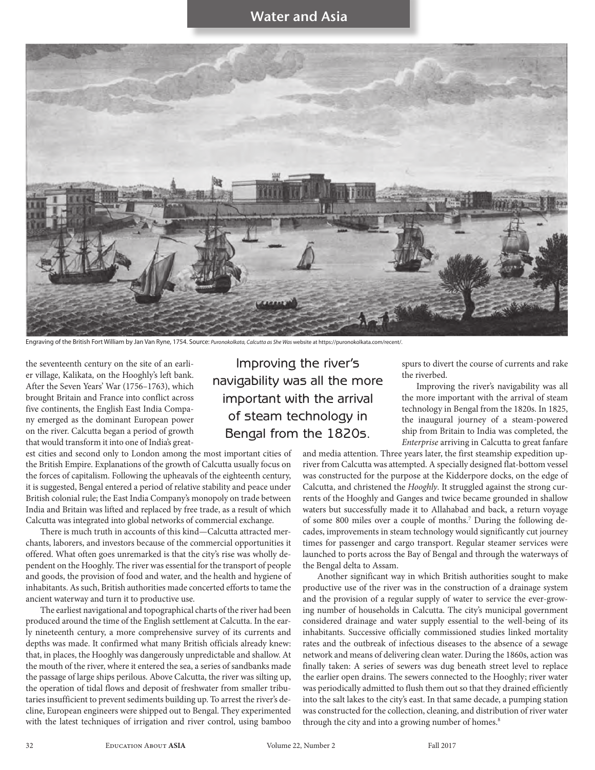

Engraving of the British Fort William by Jan Van Ryne, 1754. Source: *Puronokolkata, Calcutta as She Was* website at https://puronokolkata.com/recent/.

the seventeenth century on the site of an earlier village, Kalikata, on the Hooghly's left bank. After the Seven Years' War (1756–1763), which brought Britain and France into conflict across five continents, the English East India Company emerged as the dominant European power on the river. Calcutta began a period of growth that would transform it into one of India's great-

est cities and second only to London among the most important cities of the British Empire. Explanations of the growth of Calcutta usually focus on the forces of capitalism. Following the upheavals of the eighteenth century, it is suggested, Bengal entered a period of relative stability and peace under British colonial rule; the East India Company's monopoly on trade between India and Britain was lifted and replaced by free trade, as a result of which Calcutta was integrated into global networks of commercial exchange.

There is much truth in accounts of this kind—Calcutta attracted merchants, laborers, and investors because of the commercial opportunities it offered. What often goes unremarked is that the city's rise was wholly dependent on the Hooghly. The river was essential for the transport of people and goods, the provision of food and water, and the health and hygiene of inhabitants. As such, British authorities made concerted efforts to tame the ancient waterway and turn it to productive use.

The earliest navigational and topographical charts of the river had been produced around the time of the English settlement at Calcutta. In the early nineteenth century, a more comprehensive survey of its currents and depths was made. It confirmed what many British officials already knew: that, in places, the Hooghly was dangerously unpredictable and shallow. At the mouth of the river, where it entered the sea, a series of sandbanks made the passage of large ships perilous. Above Calcutta, the river was silting up, the operation of tidal flows and deposit of freshwater from smaller tributaries insufficient to prevent sediments building up. To arrest the river's decline, European engineers were shipped out to Bengal. They experimented with the latest techniques of irrigation and river control, using bamboo

Improving the river's navigability was all the more important with the arrival of steam technology in Bengal from the 1820s.

spurs to divert the course of currents and rake the riverbed.

Improving the river's navigability was all the more important with the arrival of steam technology in Bengal from the 1820s. In 1825, the inaugural journey of a steam-powered ship from Britain to India was completed, the *Enterprise* arriving in Calcutta to great fanfare

and media attention. Three years later, the first steamship expedition upriver from Calcutta was attempted. A specially designed flat-bottom vessel was constructed for the purpose at the Kidderpore docks, on the edge of Calcutta, and christened the *Hooghly*. It struggled against the strong currents of the Hooghly and Ganges and twice became grounded in shallow waters but successfully made it to Allahabad and back, a return voyage of some 800 miles over a couple of months.<sup>7</sup> During the following decades, improvements in steam technology would significantly cut journey times for passenger and cargo transport. Regular steamer services were launched to ports across the Bay of Bengal and through the waterways of the Bengal delta to Assam.

Another significant way in which British authorities sought to make productive use of the river was in the construction of a drainage system and the provision of a regular supply of water to service the ever-growing number of households in Calcutta. The city's municipal government considered drainage and water supply essential to the well-being of its inhabitants. Successive officially commissioned studies linked mortality rates and the outbreak of infectious diseases to the absence of a sewage network and means of delivering clean water. During the 1860s, action was finally taken: A series of sewers was dug beneath street level to replace the earlier open drains. The sewers connected to the Hooghly; river water was periodically admitted to flush them out so that they drained efficiently into the salt lakes to the city's east. In that same decade, a pumping station was constructed for the collection, cleaning, and distribution of river water through the city and into a growing number of homes.<sup>8</sup>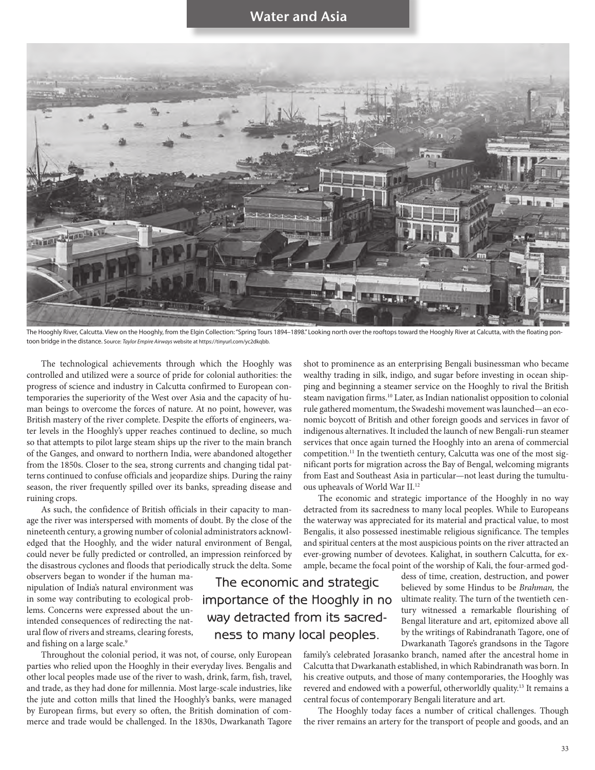

The Hooghly River, Calcutta. View on the Hooghly, from the Elgin Collection: "Spring Tours 1894-1898." Looking north over the rooftops toward the Hooghly River at Calcutta, with the floating pontoon bridge in the distance. Source: *Taylor Empire Airways* website at https://tinyurl.com/yc2dkqbb.

The economic and strategic

way detracted from its sacredness to many local peoples.

The technological achievements through which the Hooghly was controlled and utilized were a source of pride for colonial authorities: the progress of science and industry in Calcutta confirmed to European contemporaries the superiority of the West over Asia and the capacity of human beings to overcome the forces of nature. At no point, however, was British mastery of the river complete. Despite the efforts of engineers, water levels in the Hooghly's upper reaches continued to decline, so much so that attempts to pilot large steam ships up the river to the main branch of the Ganges, and onward to northern India, were abandoned altogether from the 1850s. Closer to the sea, strong currents and changing tidal patterns continued to confuse officials and jeopardize ships. During the rainy season, the river frequently spilled over its banks, spreading disease and ruining crops.

As such, the confidence of British officials in their capacity to manage the river was interspersed with moments of doubt. By the close of the nineteenth century, a growing number of colonial administrators acknowledged that the Hooghly, and the wider natural environment of Bengal, could never be fully predicted or controlled, an impression reinforced by the disastrous cyclones and floods that periodically struck the delta. Some

observers began to wonder if the human manipulation of India's natural environment was in some way contributing to ecological problems. Concerns were expressed about the unintended consequences of redirecting the natural flow of rivers and streams, clearing forests, and fishing on a large scale.<sup>9</sup>

Throughout the colonial period, it was not, of course, only European parties who relied upon the Hooghly in their everyday lives. Bengalis and other local peoples made use of the river to wash, drink, farm, fish, travel, and trade, as they had done for millennia. Most large-scale industries, like the jute and cotton mills that lined the Hooghly's banks, were managed by European firms, but every so often, the British domination of commerce and trade would be challenged. In the 1830s, Dwarkanath Tagore

shot to prominence as an enterprising Bengali businessman who became wealthy trading in silk, indigo, and sugar before investing in ocean shipping and beginning a steamer service on the Hooghly to rival the British steam navigation firms.<sup>10</sup> Later, as Indian nationalist opposition to colonial rule gathered momentum, the Swadeshi movement was launched—an economic boycott of British and other foreign goods and services in favor of indigenous alternatives. It included the launch of new Bengali-run steamer services that once again turned the Hooghly into an arena of commercial competition.11 In the twentieth century, Calcutta was one of the most significant ports for migration across the Bay of Bengal, welcoming migrants from East and Southeast Asia in particular—not least during the tumultuous upheavals of World War II.12

The economic and strategic importance of the Hooghly in no way detracted from its sacredness to many local peoples. While to Europeans the waterway was appreciated for its material and practical value, to most Bengalis, it also possessed inestimable religious significance. The temples and spiritual centers at the most auspicious points on the river attracted an ever-growing number of devotees. Kalighat, in southern Calcutta, for example, became the focal point of the worship of Kali, the four-armed god-

dess of time, creation, destruction, and power believed by some Hindus to be *Brahman,* the ultimate reality. The turn of the twentieth century witnessed a remarkable flourishing of Bengal literature and art, epitomized above all by the writings of Rabindranath Tagore, one of Dwarkanath Tagore's grandsons in the Tagore importance of the Hooghly in no

family's celebrated Jorasanko branch, named after the ancestral home in Calcutta that Dwarkanath established, in which Rabindranath was born. In his creative outputs, and those of many contemporaries, the Hooghly was revered and endowed with a powerful, otherworldly quality.13 It remains a central focus of contemporary Bengali literature and art.

The Hooghly today faces a number of critical challenges. Though the river remains an artery for the transport of people and goods, and an